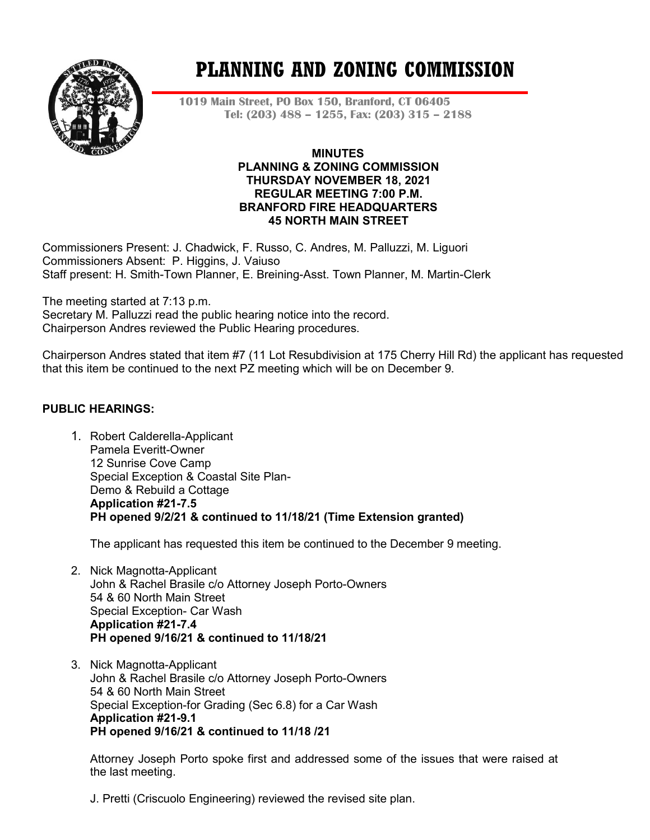

# **PLANNING AND ZONING COMMISSION**

**1019 Main Street, PO Box 150, Branford, CT 06405 Tel: (203) 488 – 1255, Fax: (203) 315 – 2188**

#### **MINUTES PLANNING & ZONING COMMISSION THURSDAY NOVEMBER 18, 2021 REGULAR MEETING 7:00 P.M. BRANFORD FIRE HEADQUARTERS 45 NORTH MAIN STREET**

Commissioners Present: J. Chadwick, F. Russo, C. Andres, M. Palluzzi, M. Liguori Commissioners Absent: P. Higgins, J. Vaiuso Staff present: H. Smith-Town Planner, E. Breining-Asst. Town Planner, M. Martin-Clerk

The meeting started at 7:13 p.m. Secretary M. Palluzzi read the public hearing notice into the record. Chairperson Andres reviewed the Public Hearing procedures.

Chairperson Andres stated that item #7 (11 Lot Resubdivision at 175 Cherry Hill Rd) the applicant has requested that this item be continued to the next PZ meeting which will be on December 9.

# **PUBLIC HEARINGS:**

1. Robert Calderella-Applicant Pamela Everitt-Owner 12 Sunrise Cove Camp Special Exception & Coastal Site Plan-Demo & Rebuild a Cottage **Application #21-7.5 PH opened 9/2/21 & continued to 11/18/21 (Time Extension granted)**

The applicant has requested this item be continued to the December 9 meeting.

- 2. Nick Magnotta-Applicant John & Rachel Brasile c/o Attorney Joseph Porto-Owners 54 & 60 North Main Street Special Exception- Car Wash **Application #21-7.4 PH opened 9/16/21 & continued to 11/18/21**
- 3. Nick Magnotta-Applicant John & Rachel Brasile c/o Attorney Joseph Porto-Owners 54 & 60 North Main Street Special Exception-for Grading (Sec 6.8) for a Car Wash **Application #21-9.1 PH opened 9/16/21 & continued to 11/18 /21**

Attorney Joseph Porto spoke first and addressed some of the issues that were raised at the last meeting.

J. Pretti (Criscuolo Engineering) reviewed the revised site plan.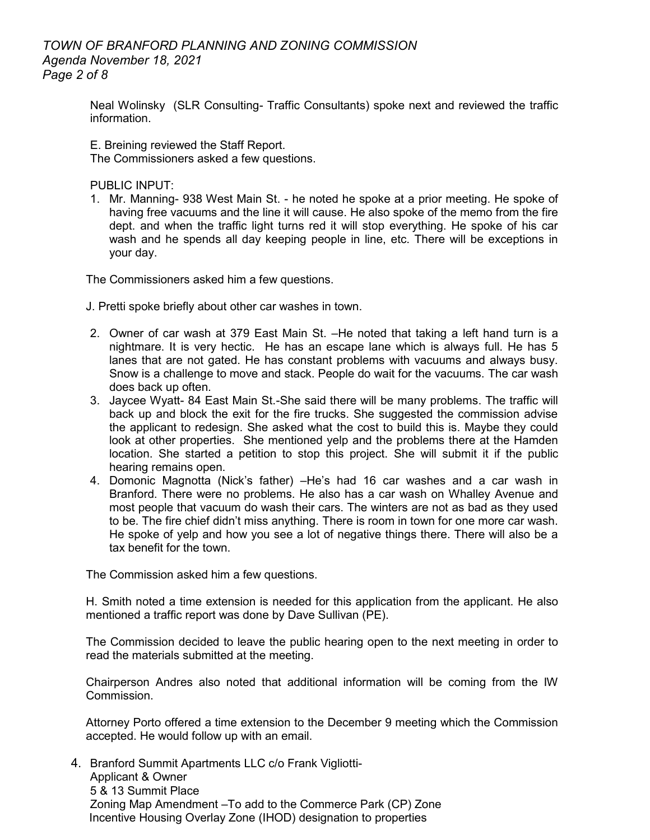## *TOWN OF BRANFORD PLANNING AND ZONING COMMISSION Agenda November 18, 2021 Page 2 of 8*

Neal Wolinsky (SLR Consulting- Traffic Consultants) spoke next and reviewed the traffic information.

E. Breining reviewed the Staff Report. The Commissioners asked a few questions.

PUBLIC INPUT:

1. Mr. Manning- 938 West Main St. - he noted he spoke at a prior meeting. He spoke of having free vacuums and the line it will cause. He also spoke of the memo from the fire dept. and when the traffic light turns red it will stop everything. He spoke of his car wash and he spends all day keeping people in line, etc. There will be exceptions in your day.

The Commissioners asked him a few questions.

J. Pretti spoke briefly about other car washes in town.

- 2. Owner of car wash at 379 East Main St. –He noted that taking a left hand turn is a nightmare. It is very hectic. He has an escape lane which is always full. He has 5 lanes that are not gated. He has constant problems with vacuums and always busy. Snow is a challenge to move and stack. People do wait for the vacuums. The car wash does back up often.
- 3. Jaycee Wyatt- 84 East Main St.-She said there will be many problems. The traffic will back up and block the exit for the fire trucks. She suggested the commission advise the applicant to redesign. She asked what the cost to build this is. Maybe they could look at other properties. She mentioned yelp and the problems there at the Hamden location. She started a petition to stop this project. She will submit it if the public hearing remains open.
- 4. Domonic Magnotta (Nick's father) –He's had 16 car washes and a car wash in Branford. There were no problems. He also has a car wash on Whalley Avenue and most people that vacuum do wash their cars. The winters are not as bad as they used to be. The fire chief didn't miss anything. There is room in town for one more car wash. He spoke of yelp and how you see a lot of negative things there. There will also be a tax benefit for the town.

The Commission asked him a few questions.

H. Smith noted a time extension is needed for this application from the applicant. He also mentioned a traffic report was done by Dave Sullivan (PE).

The Commission decided to leave the public hearing open to the next meeting in order to read the materials submitted at the meeting.

Chairperson Andres also noted that additional information will be coming from the IW Commission.

Attorney Porto offered a time extension to the December 9 meeting which the Commission accepted. He would follow up with an email.

4. Branford Summit Apartments LLC c/o Frank Vigliotti-Applicant & Owner 5 & 13 Summit Place Zoning Map Amendment –To add to the Commerce Park (CP) Zone Incentive Housing Overlay Zone (IHOD) designation to properties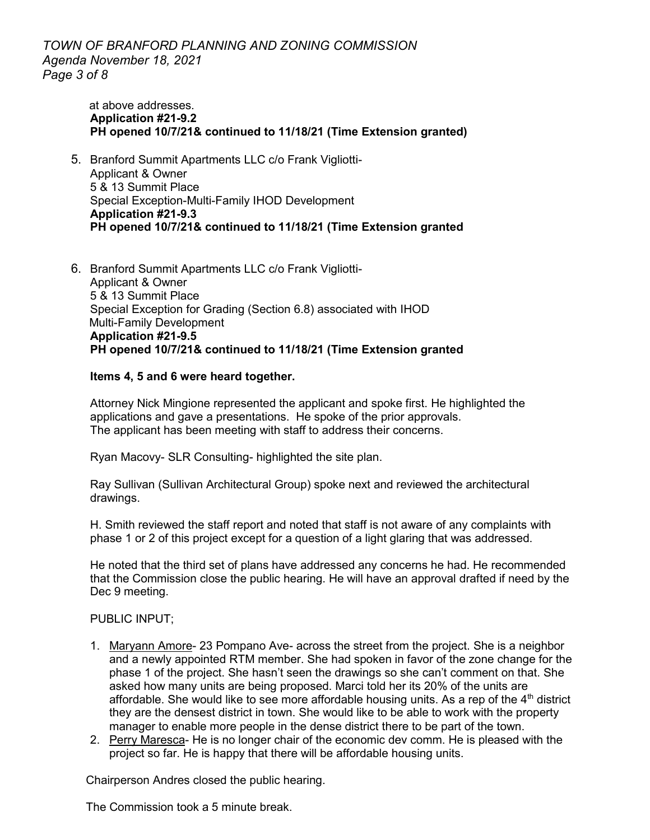*TOWN OF BRANFORD PLANNING AND ZONING COMMISSION Agenda November 18, 2021 Page 3 of 8*

> at above addresses. **Application #21-9.2 PH opened 10/7/21& continued to 11/18/21 (Time Extension granted)**

- 5. Branford Summit Apartments LLC c/o Frank Vigliotti-Applicant & Owner 5 & 13 Summit Place Special Exception-Multi-Family IHOD Development **Application #21-9.3 PH opened 10/7/21& continued to 11/18/21 (Time Extension granted**
- 6. Branford Summit Apartments LLC c/o Frank Vigliotti-Applicant & Owner 5 & 13 Summit Place Special Exception for Grading (Section 6.8) associated with IHOD Multi-Family Development **Application #21-9.5 PH opened 10/7/21& continued to 11/18/21 (Time Extension granted**

#### **Items 4, 5 and 6 were heard together.**

Attorney Nick Mingione represented the applicant and spoke first. He highlighted the applications and gave a presentations. He spoke of the prior approvals. The applicant has been meeting with staff to address their concerns.

Ryan Macovy- SLR Consulting- highlighted the site plan.

Ray Sullivan (Sullivan Architectural Group) spoke next and reviewed the architectural drawings.

H. Smith reviewed the staff report and noted that staff is not aware of any complaints with phase 1 or 2 of this project except for a question of a light glaring that was addressed.

He noted that the third set of plans have addressed any concerns he had. He recommended that the Commission close the public hearing. He will have an approval drafted if need by the Dec 9 meeting.

PUBLIC INPUT;

- 1. Maryann Amore- 23 Pompano Ave- across the street from the project. She is a neighbor and a newly appointed RTM member. She had spoken in favor of the zone change for the phase 1 of the project. She hasn't seen the drawings so she can't comment on that. She asked how many units are being proposed. Marci told her its 20% of the units are affordable. She would like to see more affordable housing units. As a rep of the  $4<sup>th</sup>$  district they are the densest district in town. She would like to be able to work with the property manager to enable more people in the dense district there to be part of the town.
- 2. Perry Maresca- He is no longer chair of the economic dev comm. He is pleased with the project so far. He is happy that there will be affordable housing units.

Chairperson Andres closed the public hearing.

The Commission took a 5 minute break.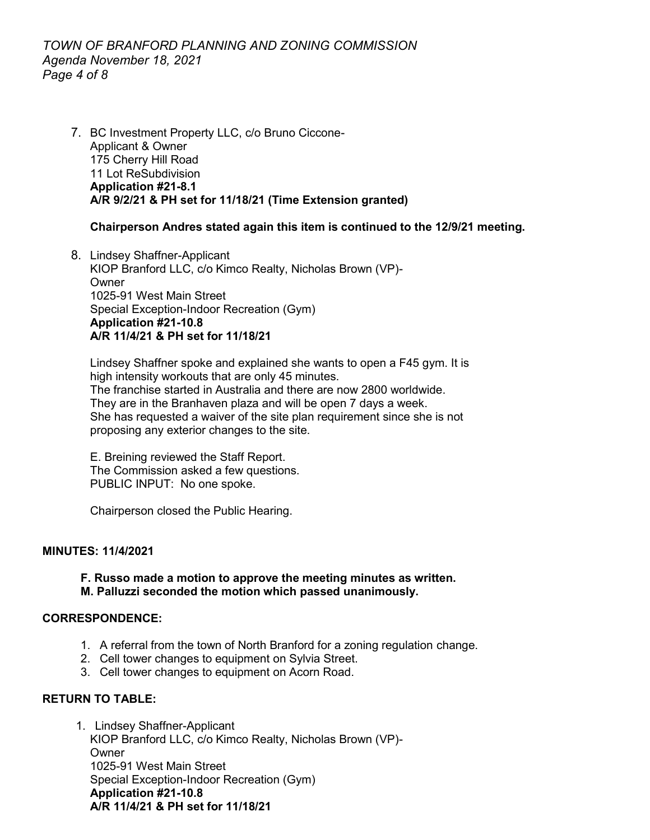## *TOWN OF BRANFORD PLANNING AND ZONING COMMISSION Agenda November 18, 2021 Page 4 of 8*

7. BC Investment Property LLC, c/o Bruno Ciccone-Applicant & Owner 175 Cherry Hill Road 11 Lot ReSubdivision **Application #21-8.1 A/R 9/2/21 & PH set for 11/18/21 (Time Extension granted)**

### **Chairperson Andres stated again this item is continued to the 12/9/21 meeting.**

8. Lindsey Shaffner-Applicant KIOP Branford LLC, c/o Kimco Realty, Nicholas Brown (VP)- Owner 1025-91 West Main Street Special Exception-Indoor Recreation (Gym) **Application #21-10.8 A/R 11/4/21 & PH set for 11/18/21**

Lindsey Shaffner spoke and explained she wants to open a F45 gym. It is high intensity workouts that are only 45 minutes. The franchise started in Australia and there are now 2800 worldwide. They are in the Branhaven plaza and will be open 7 days a week. She has requested a waiver of the site plan requirement since she is not proposing any exterior changes to the site.

E. Breining reviewed the Staff Report. The Commission asked a few questions. PUBLIC INPUT: No one spoke.

Chairperson closed the Public Hearing.

#### **MINUTES: 11/4/2021**

### **F. Russo made a motion to approve the meeting minutes as written. M. Palluzzi seconded the motion which passed unanimously.**

#### **CORRESPONDENCE:**

- 1. A referral from the town of North Branford for a zoning regulation change.
- 2. Cell tower changes to equipment on Sylvia Street.
- 3. Cell tower changes to equipment on Acorn Road.

### **RETURN TO TABLE:**

1. Lindsey Shaffner-Applicant KIOP Branford LLC, c/o Kimco Realty, Nicholas Brown (VP)- **Owner** 1025-91 West Main Street Special Exception-Indoor Recreation (Gym) **Application #21-10.8 A/R 11/4/21 & PH set for 11/18/21**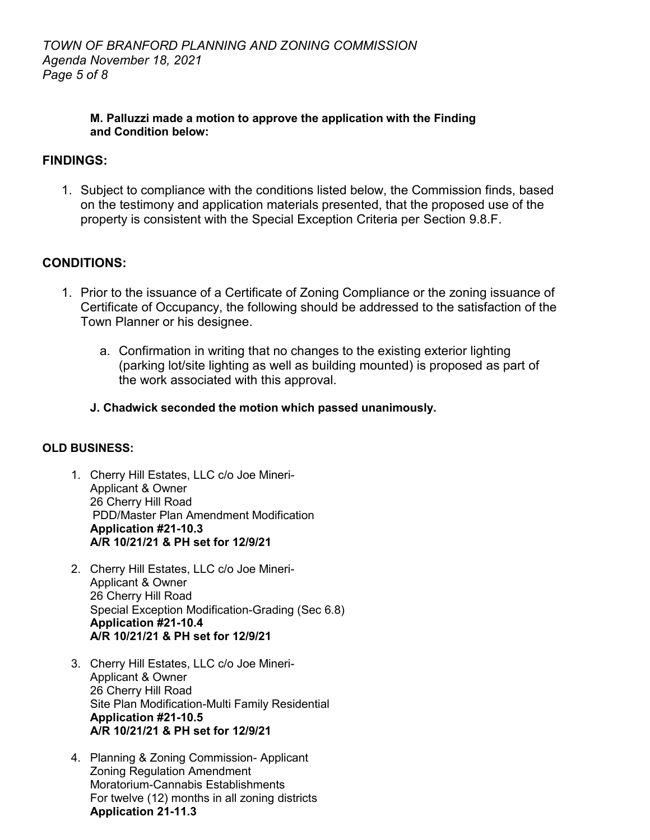## **M. Palluzzi made a motion to approve the application with the Finding and Condition below:**

# **FINDINGS:**

1. Subject to compliance with the conditions listed below, the Commission finds, based on the testimony and application materials presented, that the proposed use of the property is consistent with the Special Exception Criteria per Section 9.8.F.

# **CONDITIONS:**

- 1. Prior to the issuance of a Certificate of Zoning Compliance or the zoning issuance of Certificate of Occupancy, the following should be addressed to the satisfaction of the Town Planner or his designee.
	- a. Confirmation in writing that no changes to the existing exterior lighting (parking lot/site lighting as well as building mounted) is proposed as part of the work associated with this approval.
	- **J. Chadwick seconded the motion which passed unanimously.**

# **OLD BUSINESS:**

- 1. Cherry Hill Estates, LLC c/o Joe Mineri-Applicant & Owner 26 Cherry Hill Road PDD/Master Plan Amendment Modification **Application #21-10.3 A/R 10/21/21 & PH set for 12/9/21**
- 2. Cherry Hill Estates, LLC c/o Joe Mineri-Applicant & Owner 26 Cherry Hill Road Special Exception Modification-Grading (Sec 6.8) **Application #21-10.4 A/R 10/21/21 & PH set for 12/9/21**
- 3. Cherry Hill Estates, LLC c/o Joe Mineri-Applicant & Owner 26 Cherry Hill Road Site Plan Modification-Multi Family Residential **Application #21-10.5 A/R 10/21/21 & PH set for 12/9/21**
- 4. Planning & Zoning Commission- Applicant Zoning Regulation Amendment Moratorium-Cannabis Establishments For twelve (12) months in all zoning districts **Application 21-11.3**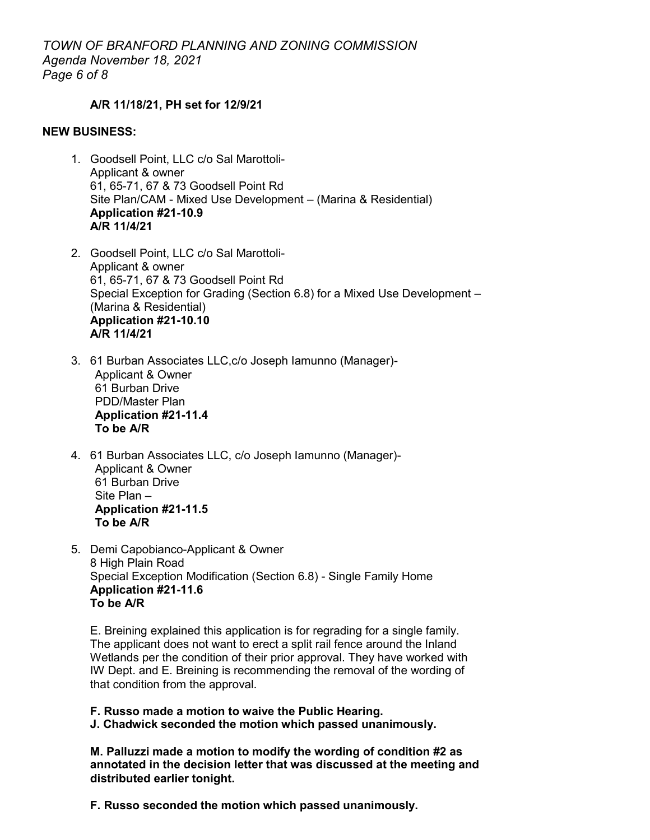### **A/R 11/18/21, PH set for 12/9/21**

#### **NEW BUSINESS:**

- 1. Goodsell Point, LLC c/o Sal Marottoli-Applicant & owner 61, 65-71, 67 & 73 Goodsell Point Rd Site Plan/CAM - Mixed Use Development – (Marina & Residential) **Application #21-10.9 A/R 11/4/21**
- 2. Goodsell Point, LLC c/o Sal Marottoli-Applicant & owner 61, 65-71, 67 & 73 Goodsell Point Rd Special Exception for Grading (Section 6.8) for a Mixed Use Development – (Marina & Residential) **Application #21-10.10 A/R 11/4/21**
- 3. 61 Burban Associates LLC,c/o Joseph Iamunno (Manager)- Applicant & Owner 61 Burban Drive PDD/Master Plan **Application #21-11.4 To be A/R**
- 4. 61 Burban Associates LLC, c/o Joseph Iamunno (Manager)- Applicant & Owner 61 Burban Drive Site Plan – **Application #21-11.5 To be A/R**
- 5. Demi Capobianco-Applicant & Owner 8 High Plain Road Special Exception Modification (Section 6.8) - Single Family Home **Application #21-11.6 To be A/R**

E. Breining explained this application is for regrading for a single family. The applicant does not want to erect a split rail fence around the Inland Wetlands per the condition of their prior approval. They have worked with IW Dept. and E. Breining is recommending the removal of the wording of that condition from the approval.

**F. Russo made a motion to waive the Public Hearing. J. Chadwick seconded the motion which passed unanimously.**

**M. Palluzzi made a motion to modify the wording of condition #2 as annotated in the decision letter that was discussed at the meeting and distributed earlier tonight.** 

**F. Russo seconded the motion which passed unanimously.**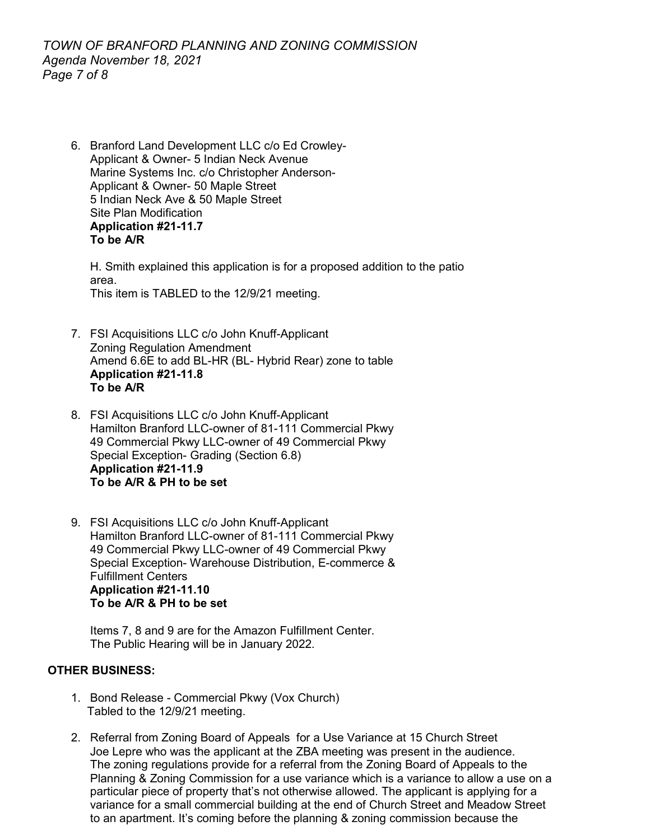*TOWN OF BRANFORD PLANNING AND ZONING COMMISSION Agenda November 18, 2021 Page 7 of 8*

6. Branford Land Development LLC c/o Ed Crowley-Applicant & Owner- 5 Indian Neck Avenue Marine Systems Inc. c/o Christopher Anderson-Applicant & Owner- 50 Maple Street 5 Indian Neck Ave & 50 Maple Street Site Plan Modification **Application #21-11.7 To be A/R**

H. Smith explained this application is for a proposed addition to the patio area. This item is TABLED to the 12/9/21 meeting.

- 7. FSI Acquisitions LLC c/o John Knuff-Applicant Zoning Regulation Amendment Amend 6.6E to add BL-HR (BL- Hybrid Rear) zone to table **Application #21-11.8 To be A/R**
- 8. FSI Acquisitions LLC c/o John Knuff-Applicant Hamilton Branford LLC-owner of 81-111 Commercial Pkwy 49 Commercial Pkwy LLC-owner of 49 Commercial Pkwy Special Exception- Grading (Section 6.8) **Application #21-11.9 To be A/R & PH to be set**
- 9. FSI Acquisitions LLC c/o John Knuff-Applicant Hamilton Branford LLC-owner of 81-111 Commercial Pkwy 49 Commercial Pkwy LLC-owner of 49 Commercial Pkwy Special Exception- Warehouse Distribution, E-commerce & Fulfillment Centers **Application #21-11.10 To be A/R & PH to be set**

Items 7, 8 and 9 are for the Amazon Fulfillment Center. The Public Hearing will be in January 2022.

### **OTHER BUSINESS:**

- 1. Bond Release Commercial Pkwy (Vox Church) Tabled to the 12/9/21 meeting.
- 2. Referral from Zoning Board of Appeals for a Use Variance at 15 Church Street Joe Lepre who was the applicant at the ZBA meeting was present in the audience. The zoning regulations provide for a referral from the Zoning Board of Appeals to the Planning & Zoning Commission for a use variance which is a variance to allow a use on a particular piece of property that's not otherwise allowed. The applicant is applying for a variance for a small commercial building at the end of Church Street and Meadow Street to an apartment. It's coming before the planning & zoning commission because the